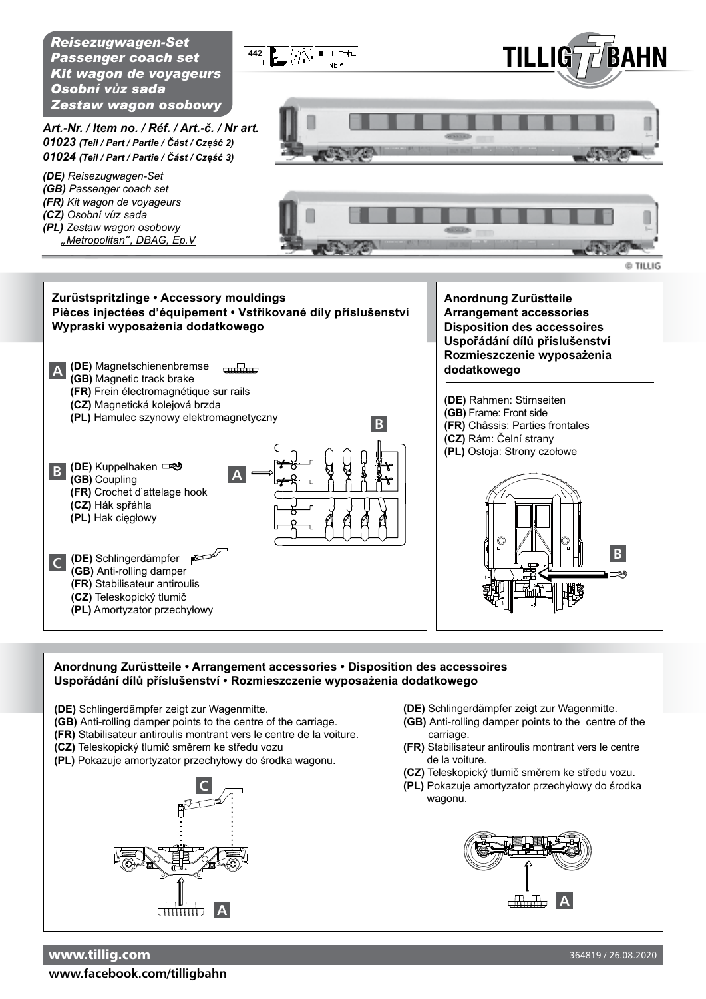*Reisezugwagen-Set Passenger coach set Kit wagon de voyageurs Osobní vůz sada Zestaw wagon osobowy*



*Art.-Nr. / Item no. / Réf. / Art.-č. / Nr art. 01023 (Teil / Part / Partie / část / Część 2) 01024 (Teil / Part / Partie / část / Część 3)*

- *(DE) Reisezugwagen-Set*
- *(GB) Passenger coach set*
- *(FR) Kit wagon de voyageurs*
- *(CZ) Osobní vůz sada*
- *(PL) Zestaw wagon osobowy "Metropolitan", DBAG, Ep.V*



© TILLIG

## **Zurüstspritzlinge • Accessory mouldings Pièces injectées d'équipement • Vstřikované díly příslušenství Wypraski wyposażenia dodatkowego**



**Anordnung Zurüstteile Arrangement accessories Disposition des accessoires Uspořádání dílů příslušenství Rozmieszczenie wyposażenia** 

**(DE)** Rahmen: Stirnseiten **(GB)** Frame: Front side **(FR)** Châssis: Parties frontales **(CZ)** Rám: Čelní strany **(PL)** Ostoja: Strony czołowe



## **Anordnung Zurüstteile • Arrangement accessories • Disposition des accessoires Uspořádání dílů příslušenství • Rozmieszczenie wyposażenia dodatkowego**

- **(DE)** Schlingerdämpfer zeigt zur Wagenmitte.
- **(GB)** Anti-rolling damper points to the centre of the carriage.
- **(FR)** Stabilisateur antiroulis montrant vers le centre de la voiture.
- **(CZ)** Teleskopický tlumič směrem ke středu vozu
- **(PL)** Pokazuje amortyzator przechyłowy do środka wagonu.



- **(DE)** Schlingerdämpfer zeigt zur Wagenmitte.
- **(GB)** Anti-rolling damper points to the centre of the carriage.
- **(FR)** Stabilisateur antiroulis montrant vers le centre de la voiture.
- **(CZ)** Teleskopický tlumič směrem ke středu vozu.
- **(PL)** Pokazuje amortyzator przechyłowy do środka wagonu.